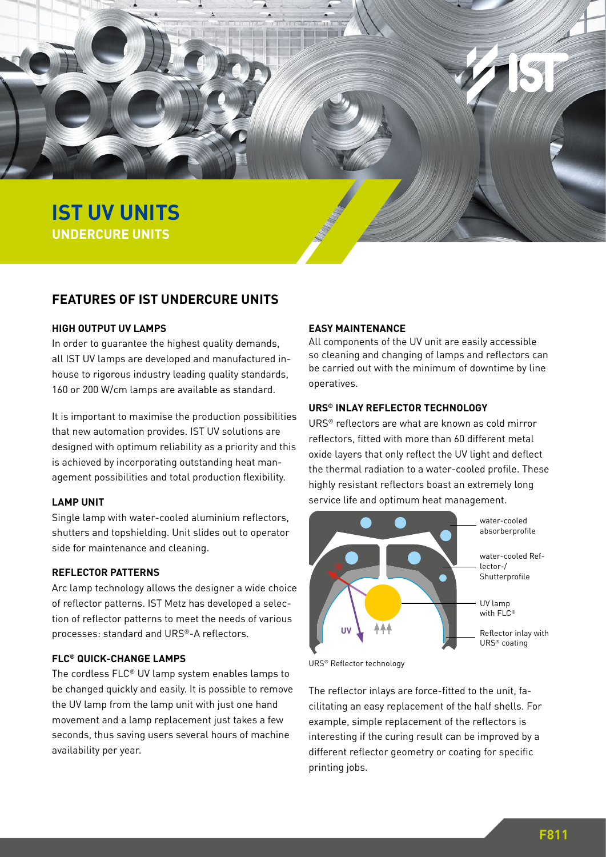

**SUBLINE MITH PRODUCT ZWEIZEIT UNDERCURE UNITS**

## **FEATURES OF IST UNDERCURE UNITS**

## **HIGH OUTPUT UV LAMPS**

In order to guarantee the highest quality demands, all IST UV lamps are developed and manufactured inhouse to rigorous industry leading quality standards, 160 or 200 W/cm lamps are available as standard.

It is important to maximise the production possibilities that new automation provides. IST UV solutions are designed with optimum reliability as a priority and this is achieved by incorporating outstanding heat management possibilities and total production flexibility.

## **LAMP UNIT**

Single lamp with water-cooled aluminium reflectors, shutters and topshielding. Unit slides out to operator side for maintenance and cleaning.

## **REFLECTOR PATTERNS**

Arc lamp technology allows the designer a wide choice of reflector patterns. IST Metz has developed a selection of reflector patterns to meet the needs of various processes: standard and URS®-A reflectors.

## **FLC® QUICK-CHANGE LAMPS**

The cordless FLC® UV lamp system enables lamps to be changed quickly and easily. It is possible to remove the UV lamp from the lamp unit with just one hand movement and a lamp replacement just takes a few seconds, thus saving users several hours of machine availability per year.

## **EASY MAINTENANCE**

All components of the UV unit are easily accessible so cleaning and changing of lamps and reflectors can be carried out with the minimum of downtime by line operatives.

#### **URS® INLAY REFLECTOR TECHNOLOGY**

URS® reflectors are what are known as cold mirror reflectors, fitted with more than 60 different metal oxide layers that only reflect the UV light and deflect the thermal radiation to a water-cooled profile. These highly resistant reflectors boast an extremely long service life and optimum heat management.



URS® Reflector technology

The reflector inlays are force-fitted to the unit, facilitating an easy replacement of the half shells. For example, simple replacement of the reflectors is interesting if the curing result can be improved by a different reflector geometry or coating for specific printing jobs.